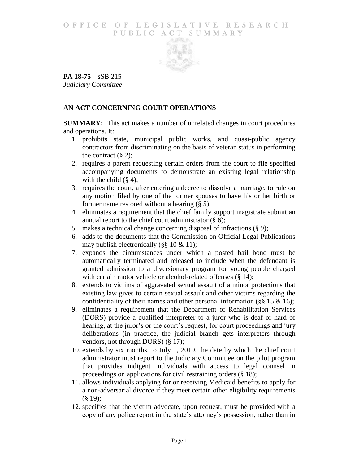### O F FICE OF LEGISLATIVE RESEARCH PUBLIC ACT SUMMARY



**PA 18-75**—sSB 215 *Judiciary Committee*

# **AN ACT CONCERNING COURT OPERATIONS**

S**UMMARY:** This act makes a number of unrelated changes in court procedures and operations. It:

- 1. prohibits state, municipal public works, and quasi-public agency contractors from discriminating on the basis of veteran status in performing the contract  $(\S 2)$ ;
- 2. requires a parent requesting certain orders from the court to file specified accompanying documents to demonstrate an existing legal relationship with the child  $(\S 4)$ ;
- 3. requires the court, after entering a decree to dissolve a marriage, to rule on any motion filed by one of the former spouses to have his or her birth or former name restored without a hearing (§ 5);
- 4. eliminates a requirement that the chief family support magistrate submit an annual report to the chief court administrator (§ 6);
- 5. makes a technical change concerning disposal of infractions (§ 9);
- 6. adds to the documents that the Commission on Official Legal Publications may publish electronically (§§ 10 & 11);
- 7. expands the circumstances under which a posted bail bond must be automatically terminated and released to include when the defendant is granted admission to a diversionary program for young people charged with certain motor vehicle or alcohol-related offenses (§ 14);
- 8. extends to victims of aggravated sexual assault of a minor protections that existing law gives to certain sexual assault and other victims regarding the confidentiality of their names and other personal information ( $\S$ § 15 & 16);
- 9. eliminates a requirement that the Department of Rehabilitation Services (DORS) provide a qualified interpreter to a juror who is deaf or hard of hearing, at the juror's or the court's request, for court proceedings and jury deliberations (in practice, the judicial branch gets interpreters through vendors, not through DORS) (§ 17);
- 10. extends by six months, to July 1, 2019, the date by which the chief court administrator must report to the Judiciary Committee on the pilot program that provides indigent individuals with access to legal counsel in proceedings on applications for civil restraining orders (§ 18);
- 11. allows individuals applying for or receiving Medicaid benefits to apply for a non-adversarial divorce if they meet certain other eligibility requirements (§ 19);
- 12. specifies that the victim advocate, upon request, must be provided with a copy of any police report in the state's attorney's possession, rather than in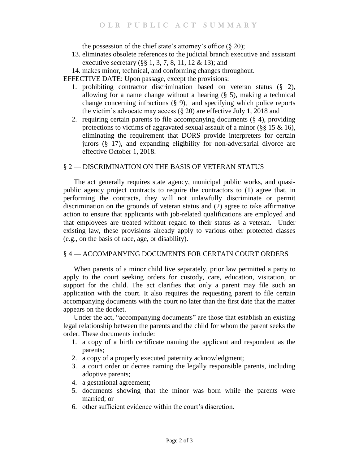the possession of the chief state's attorney's office  $(\S 20)$ ;

- 13. eliminates obsolete references to the judicial branch executive and assistant executive secretary (§§ 1, 3, 7, 8, 11, 12 & 13); and
- 14. makes minor, technical, and conforming changes throughout.

EFFECTIVE DATE: Upon passage, except the provisions:

- 1. prohibiting contractor discrimination based on veteran status (§ 2), allowing for a name change without a hearing (§ 5), making a technical change concerning infractions (§ 9), and specifying which police reports the victim's advocate may access  $(\S 20)$  are effective July 1, 2018 and
- 2. requiring certain parents to file accompanying documents (§ 4), providing protections to victims of aggravated sexual assault of a minor ( $\S$ § 15 & 16), eliminating the requirement that DORS provide interpreters for certain jurors (§ 17), and expanding eligibility for non-adversarial divorce are effective October 1, 2018.

# § 2 — DISCRIMINATION ON THE BASIS OF VETERAN STATUS

The act generally requires state agency, municipal public works, and quasipublic agency project contracts to require the contractors to (1) agree that, in performing the contracts, they will not unlawfully discriminate or permit discrimination on the grounds of veteran status and (2) agree to take affirmative action to ensure that applicants with job-related qualifications are employed and that employees are treated without regard to their status as a veteran. Under existing law, these provisions already apply to various other protected classes (e.g., on the basis of race, age, or disability).

# § 4 — ACCOMPANYING DOCUMENTS FOR CERTAIN COURT ORDERS

When parents of a minor child live separately, prior law permitted a party to apply to the court seeking orders for custody, care, education, visitation, or support for the child. The act clarifies that only a parent may file such an application with the court. It also requires the requesting parent to file certain accompanying documents with the court no later than the first date that the matter appears on the docket.

Under the act, "accompanying documents" are those that establish an existing legal relationship between the parents and the child for whom the parent seeks the order. These documents include:

- 1. a copy of a birth certificate naming the applicant and respondent as the parents;
- 2. a copy of a properly executed paternity acknowledgment;
- 3. a court order or decree naming the legally responsible parents, including adoptive parents;
- 4. a gestational agreement;
- 5. documents showing that the minor was born while the parents were married; or
- 6. other sufficient evidence within the court's discretion.